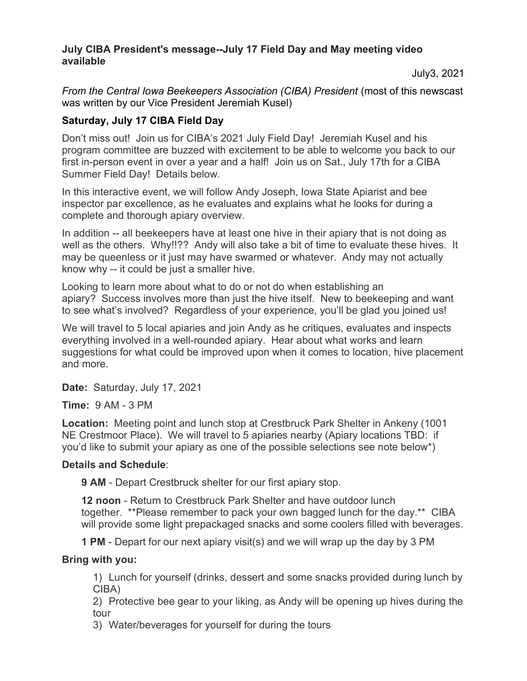## July CIBA President's message--July 17 Field Day and May meeting video available

July3, 2021

From the Central Iowa Beekeepers Association (CIBA) President (most of this newscast was written by our Vice President Jeremiah Kusel)

## Saturday, July 17 CIBA Field Day

Don't miss out! Join us for CIBA's 2021 July Field Day! Jeremiah Kusel and his program committee are buzzed with excitement to be able to welcome you back to our first in-person event in over a year and a half! Join us on Sat., July 17th for a CIBA Summer Field Day! Details below.

In this interactive event, we will follow Andy Joseph, Iowa State Apiarist and bee inspector par excellence, as he evaluates and explains what he looks for during a complete and thorough apiary overview.

In addition -- all beekeepers have at least one hive in their apiary that is not doing as well as the others. Why!!?? Andy will also take a bit of time to evaluate these hives. It may be queenless or it just may have swarmed or whatever. Andy may not actually know why -- it could be just a smaller hive.

Looking to learn more about what to do or not do when establishing an apiary? Success involves more than just the hive itself. New to beekeeping and want to see what's involved? Regardless of your experience, you'll be glad you joined us!

We will travel to 5 local apiaries and join Andy as he critiques, evaluates and inspects everything involved in a well-rounded apiary. Hear about what works and learn suggestions for what could be improved upon when it comes to location, hive placement and more.

Date: Saturday, July 17, 2021

Time: 9 AM - 3 PM

Location: Meeting point and lunch stop at Crestbruck Park Shelter in Ankeny (1001 NE Crestmoor Place). We will travel to 5 apiaries nearby (Apiary locations TBD: if you'd like to submit your apiary as one of the possible selections see note below\*)

## Details and Schedule:

9 AM - Depart Crestbruck shelter for our first apiary stop.

12 noon - Return to Crestbruck Park Shelter and have outdoor lunch together. \*\*Please remember to pack your own bagged lunch for the day.\*\* CIBA will provide some light prepackaged snacks and some coolers filled with beverages.

1 PM - Depart for our next apiary visit(s) and we will wrap up the day by 3 PM

# Bring with you:

1) Lunch for yourself (drinks, dessert and some snacks provided during lunch by CIBA)

2) Protective bee gear to your liking, as Andy will be opening up hives during the tour

3) Water/beverages for yourself for during the tours